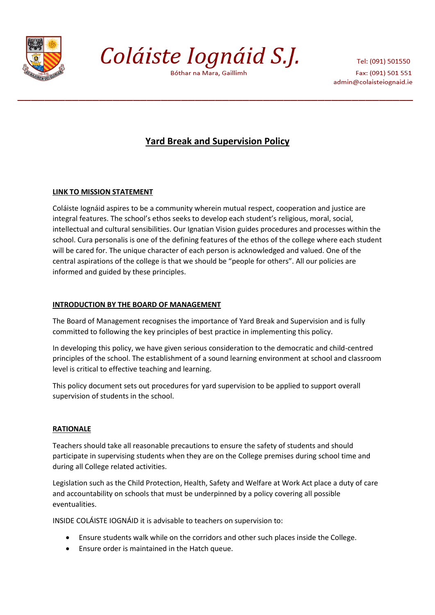

Coláiste Iognáid S.J.

Bóthar na Mara, Gaillimh

Tel: (091) 501550 Fax: (091) 501 551 admin@colaisteiognaid.ie

# **Yard Break and Supervision Policy**

## **LINK TO MISSION STATEMENT**

Coláiste Iognáid aspires to be a community wherein mutual respect, cooperation and justice are integral features. The school's ethos seeks to develop each student's religious, moral, social, intellectual and cultural sensibilities. Our Ignatian Vision guides procedures and processes within the school. Cura personalis is one of the defining features of the ethos of the college where each student will be cared for. The unique character of each person is acknowledged and valued. One of the central aspirations of the college is that we should be "people for others". All our policies are informed and guided by these principles.

## **INTRODUCTION BY THE BOARD OF MANAGEMENT**

The Board of Management recognises the importance of Yard Break and Supervision and is fully committed to following the key principles of best practice in implementing this policy.

In developing this policy, we have given serious consideration to the democratic and child-centred principles of the school. The establishment of a sound learning environment at school and classroom level is critical to effective teaching and learning.

This policy document sets out procedures for yard supervision to be applied to support overall supervision of students in the school.

## **RATIONALE**

Teachers should take all reasonable precautions to ensure the safety of students and should participate in supervising students when they are on the College premises during school time and during all College related activities.

Legislation such as the Child Protection, Health, Safety and Welfare at Work Act place a duty of care and accountability on schools that must be underpinned by a policy covering all possible eventualities.

INSIDE COLÁISTE IOGNÁID it is advisable to teachers on supervision to:

- Ensure students walk while on the corridors and other such places inside the College.
- Ensure order is maintained in the Hatch queue.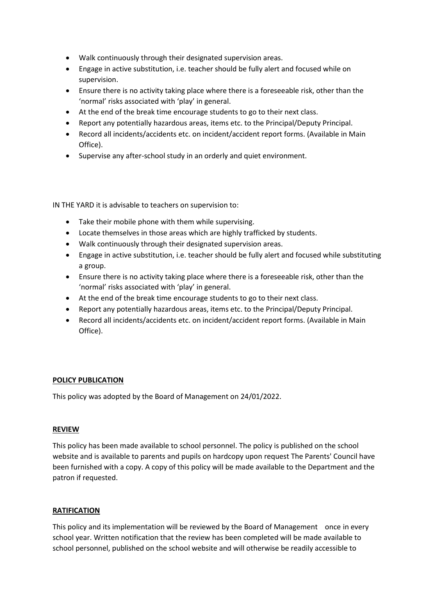- Walk continuously through their designated supervision areas.
- Engage in active substitution, i.e. teacher should be fully alert and focused while on supervision.
- Ensure there is no activity taking place where there is a foreseeable risk, other than the 'normal' risks associated with 'play' in general.
- At the end of the break time encourage students to go to their next class.
- Report any potentially hazardous areas, items etc. to the Principal/Deputy Principal.
- Record all incidents/accidents etc. on incident/accident report forms. (Available in Main Office).
- Supervise any after-school study in an orderly and quiet environment.

IN THE YARD it is advisable to teachers on supervision to:

- Take their mobile phone with them while supervising.
- Locate themselves in those areas which are highly trafficked by students.
- Walk continuously through their designated supervision areas.
- Engage in active substitution, i.e. teacher should be fully alert and focused while substituting a group.
- Ensure there is no activity taking place where there is a foreseeable risk, other than the 'normal' risks associated with 'play' in general.
- At the end of the break time encourage students to go to their next class.
- Report any potentially hazardous areas, items etc. to the Principal/Deputy Principal.
- Record all incidents/accidents etc. on incident/accident report forms. (Available in Main Office).

## **POLICY PUBLICATION**

This policy was adopted by the Board of Management on 24/01/2022.

#### **REVIEW**

This policy has been made available to school personnel. The policy is published on the school website and is available to parents and pupils on hardcopy upon request The Parents' Council have been furnished with a copy. A copy of this policy will be made available to the Department and the patron if requested.

#### **RATIFICATION**

This policy and its implementation will be reviewed by the Board of Management once in every school year. Written notification that the review has been completed will be made available to school personnel, published on the school website and will otherwise be readily accessible to